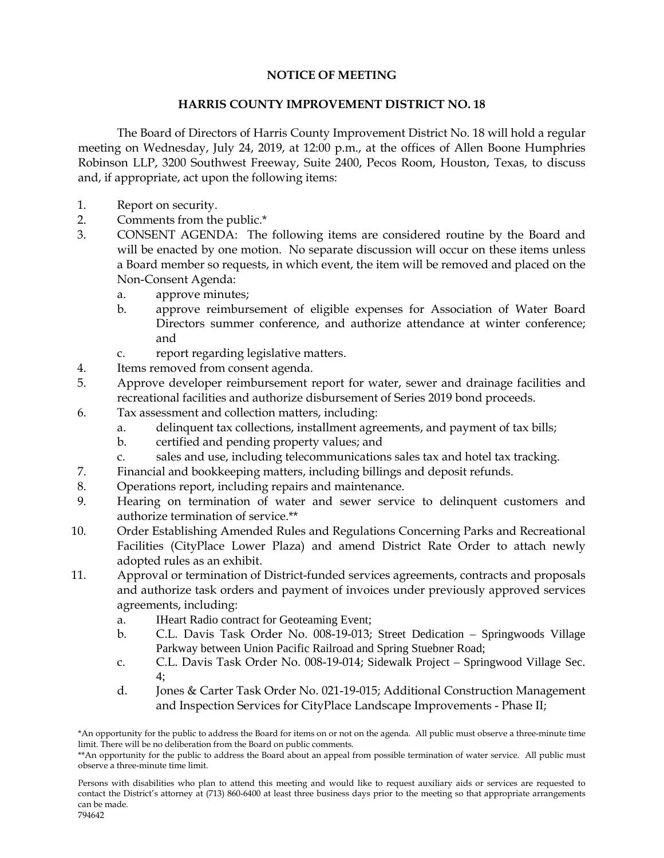## **NOTICE OF MEETING**

## **HARRIS COUNTY IMPROVEMENT DISTRICT NO. 18**

The Board of Directors of Harris County Improvement District No. 18 will hold a regular meeting on Wednesday, July 24, 2019, at 12:00 p.m., at the offices of Allen Boone Humphries Robinson LLP, 3200 Southwest Freeway, Suite 2400, Pecos Room, Houston, Texas, to discuss and, if appropriate, act upon the following items:

- 1. Report on security.
- 2. Comments from the public.\*
- 3. CONSENT AGENDA: The following items are considered routine by the Board and will be enacted by one motion. No separate discussion will occur on these items unless a Board member so requests, in which event, the item will be removed and placed on the Non-Consent Agenda:
	- a. approve minutes;
	- b. approve reimbursement of eligible expenses for Association of Water Board Directors summer conference, and authorize attendance at winter conference; and
	- c. report regarding legislative matters.
- 4. Items removed from consent agenda.
- 5. Approve developer reimbursement report for water, sewer and drainage facilities and recreational facilities and authorize disbursement of Series 2019 bond proceeds.
- 6. Tax assessment and collection matters, including:
	- a. delinquent tax collections, installment agreements, and payment of tax bills;
		- b. certified and pending property values; and
		- c. sales and use, including telecommunications sales tax and hotel tax tracking.
- 7. Financial and bookkeeping matters, including billings and deposit refunds.
- 8. Operations report, including repairs and maintenance.
- 9. Hearing on termination of water and sewer service to delinquent customers and authorize termination of service.\*\*
- 10. Order Establishing Amended Rules and Regulations Concerning Parks and Recreational Facilities (CityPlace Lower Plaza) and amend District Rate Order to attach newly adopted rules as an exhibit.
- 11. Approval or termination of District-funded services agreements, contracts and proposals and authorize task orders and payment of invoices under previously approved services agreements, including:
	- a. IHeart Radio contract for Geoteaming Event;
	- b. C.L. Davis Task Order No. 008-19-013; Street Dedication Springwoods Village Parkway between Union Pacific Railroad and Spring Stuebner Road;
	- c. C.L. Davis Task Order No. 008-19-014; Sidewalk Project Springwood Village Sec.  $4\cdot$
	- d. Jones & Carter Task Order No. 021-19-015; Additional Construction Management and Inspection Services for CityPlace Landscape Improvements - Phase II;

<sup>\*</sup>An opportunity for the public to address the Board for items on or not on the agenda. All public must observe a three-minute time limit. There will be no deliberation from the Board on public comments.

<sup>\*\*</sup>An opportunity for the public to address the Board about an appeal from possible termination of water service. All public must observe a three-minute time limit.

Persons with disabilities who plan to attend this meeting and would like to request auxiliary aids or services are requested to contact the District's attorney at (713) 860-6400 at least three business days prior to the meeting so that appropriate arrangements can be made. 794642